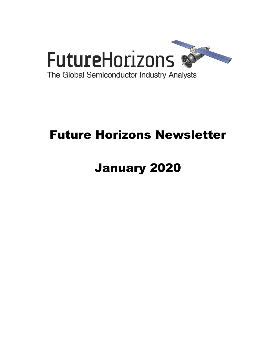

# Future Horizons Newsletter

# January 2020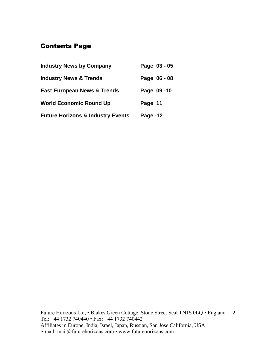# Contents Page

| <b>Industry News by Company</b>              | Page 03 - 05 |
|----------------------------------------------|--------------|
| <b>Industry News &amp; Trends</b>            | Page 06 - 08 |
| <b>East European News &amp; Trends</b>       | Page 09-10   |
| <b>World Economic Round Up</b>               | Page 11      |
| <b>Future Horizons &amp; Industry Events</b> | Page -12     |

Future Horizons Ltd, • Blakes Green Cottage, Stone Street Seal TN15 0LQ • England 2 Tel: +44 1732 740440 • Fax: +44 1732 740442 Affiliates in Europe, India, Israel, Japan, Russian, San Jose California, USA e-mail: mail@futurehorizons.com • www.futurehorizons.com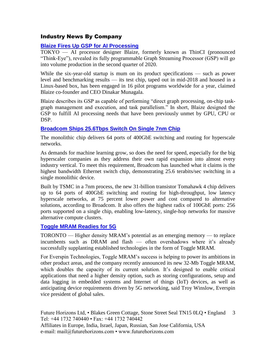# Industry News By Company

# **[Blaize Fires Up GSP for AI Processing](https://www.eetimes.com/blaize-fires-up-gsp-for-ai-processing/?utm_source=newsletter&utm_campaign=link&utm_medium=EETimesSoC-20191209)**

TOKYO — AI processor designer Blaize, formerly known as ThinCI (pronounced "Think-Eye"), revealed its fully programmable Graph Streaming Processor (GSP) will go into volume production in the second quarter of 2020.

While the six-year-old startup is mum on its product specifications — such as power level and benchmarking results — its test chip, taped out in mid-2018 and housed in a Linux-based box, has been engaged in 16 pilot programs worldwide for a year, claimed Blaize co-founder and CEO Dinakar Munagala.

Blaize describes its GSP as capable of performing "direct graph processing, on-chip taskgraph management and execution, and task parallelism." In short, Blaize designed the GSP to fulfill AI processing needs that have been previously unmet by GPU, CPU or DSP.

# **[Broadcom Ships 25.6Tbps Switch On Single 7nm Chip](https://www.eetimes.com/broadcom-ships-25-6tbps-switch-on-single-7nm-chip/?utm_source=newsletter&utm_campaign=link&utm_medium=EETimesDaily-20191216)**

The monolithic chip delivers 64 ports of 400GbE switching and routing for hyperscale networks.

As demands for machine learning grow, so does the need for speed, especially for the big hyperscaler companies as they address their own rapid expansion into almost every industry vertical. To meet this requirement, Broadcom has launched what it claims is the highest bandwidth Ethernet switch chip, demonstrating 25.6 terabits/sec switching in a single monolithic device.

Built by TSMC in a 7nm process, the new 31-billion transistor Tomahawk 4 chip delivers up to 64 ports of 400GbE switching and routing for high-throughput, low latency hyperscale networks, at 75 percent lower power and cost compared to alternative solutions, according to Broadcom. It also offers the highest radix of 100GbE ports: 256 ports supported on a single chip, enabling low-latency, single-hop networks for massive alternative compute clusters.

### **[Toggle MRAM Readies for 5G](https://www.eetimes.com/toggle-mram-readies-for-5g/?utm_source=newsletter&utm_campaign=link&utm_medium=EETimesDaily-20191216)**

TORONTO — Higher density MRAM's potential as an emerging memory — to replace incumbents such as DRAM and flash — often overshadows where it's already successfully supplanting established technologies in the form of Toggle MRAM.

For Everspin Technologies, Toggle MRAM's success is helping to power its ambitions in other product areas, and the company recently announced its new 32-Mb Toggle MRAM, which doubles the capacity of its current solution. It's designed to enable critical applications that need a higher density option, such as storing configurations, setup and data logging in embedded systems and Internet of things (IoT) devices, as well as anticipating device requirements driven by 5G networking, said Troy Winslow, Everspin vice president of global sales.

Future Horizons Ltd, • Blakes Green Cottage, Stone Street Seal TN15 0LQ • England 3 Tel: +44 1732 740440 • Fax: +44 1732 740442 Affiliates in Europe, India, Israel, Japan, Russian, San Jose California, USA e-mail: mail@futurehorizons.com • www.futurehorizons.com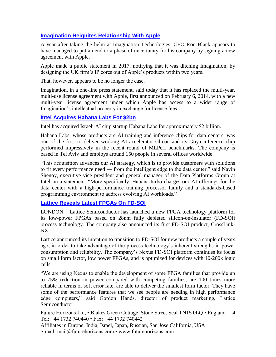# **[Imagination Reignites Relationship With Apple](https://www.eetindia.co.in/news/article/Imagination-Reignites-Relationship-with-Apple?utm_source=EETI%20Article%20Alert&utm_medium=Email&utm_campaign=2020-01-03)**

A year after taking the helm at Imagination Technologies, CEO Ron Black appears to have managed to put an end to a phase of uncertainty for his company by signing a new agreement with Apple.

Apple made a public statement in 2017, notifying that it was ditching Imagination, by designing the UK firm's IP cores out of Apple's products within two years.

That, however, appears to be no longer the case.

Imagination, in a one-line press statement, said today that it has replaced the multi-year, multi-use license agreement with Apple, first announced on February 6, 2014, with a new multi-year license agreement under which Apple has access to a wider range of Imagination's intellectual property in exchange for license fees.

# **[Intel Acquires Habana Labs For \\$2bn](https://www.eetimes.com/intel-acquires-habana-labs-for-2bn/?utm_source=newsletter&utm_campaign=link&utm_medium=EETimesDaily-20191217)**

Intel has acquired Israeli AI chip startup Habana Labs for approximately \$2 billion.

Habana Labs, whose products are AI training and inference chips for data centers, was one of the first to deliver working AI accelerator silicon and its Goya inference chip performed impressively in the recent round of MLPerf benchmarks. The company is based in Tel Aviv and employs around 150 people in several offices worldwide.

"This acquisition advances our AI strategy, which is to provide customers with solutions to fit every performance need — from the intelligent edge to the data center," said Navin Shenoy, executive vice president and general manager of the Data Platforms Group at Intel, in a statement. "More specifically, Habana turbo-charges our AI offerings for the data center with a high-performance training processor family and a standards-based programming environment to address evolving AI workloads."

### **[Lattice Reveals Latest FPGAs On FD-SOI](file://192.168.254.10/office/Jean/AAA-Jean-Working/Articles%20-%202020/Articles%20-%2001%20-%20Jan/ia.co.in/news/article/Lattice-Reveals-Latest-FPGAs-on-FD-SOI%3futm_source=EETI%20Article%20Alert&utm_medium=Email&utm_campaign=2019-)**

LONDON – Lattice Semiconductor has launched a new FPGA technology platform for its low-power FPGAs based on 28nm fully depleted silicon-on-insulator (FD-SOI) process technology. The company also announced its first FD-SOI product, CrossLink-NX.

Lattice announced its intention to transition to FD-SOI for new products a couple of years ago, in order to take advantage of the process technology's inherent strengths in power consumption and reliability. The company's Nexus FD-SOI platform continues its focus on small form factor, low power FPGAs, and is optimized for devices with 10-200k logic cells.

"We are using Nexus to enable the development of some FPGA families that provide up to 75% reduction in power compared with competing families, are 100 times more reliable in terms of soft error rate, are able to deliver the smallest form factor. They have some of the performance features that we see people are needing in high performance edge computers," said Gordon Hands, director of product marketing, Lattice Semiconductor.

Future Horizons Ltd, • Blakes Green Cottage, Stone Street Seal TN15 0LQ • England Tel: +44 1732 740440 • Fax: +44 1732 740442 4

Affiliates in Europe, India, Israel, Japan, Russian, San Jose California, USA e-mail: mail@futurehorizons.com • www.futurehorizons.com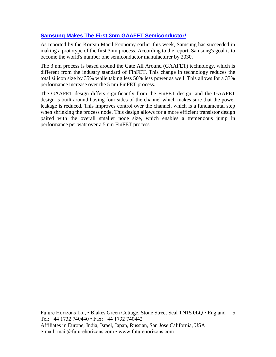# **[Samsung Makes The First 3nm GAAFET Semiconductor!](https://wccftech.com/samsung-makes-the-first-3nm-gaafet-semiconductor/)**

As reported by the Korean Maeil Economy earlier this week, Samsung has succeeded in making a prototype of the first 3nm process. According to the report, Samsung's goal is to become the world's number one semiconductor manufacturer by 2030.

The 3 nm process is based around the Gate All Around (GAAFET) technology, which is different from the industry standard of FinFET. This change in technology reduces the total silicon size by 35% while taking less 50% less power as well. This allows for a 33% performance increase over the 5 nm FinFET process.

The GAAFET design differs significantly from the FinFET design, and the GAAFET design is built around having four sides of the channel which makes sure that the power leakage is reduced. This improves control over the channel, which is a fundamental step when shrinking the process node. This design allows for a more efficient transistor design paired with the overall smaller node size, which enables a tremendous jump in performance per watt over a 5 nm FinFET process.

Future Horizons Ltd, • Blakes Green Cottage, Stone Street Seal TN15 0LQ • England 5 Tel: +44 1732 740440 • Fax: +44 1732 740442 Affiliates in Europe, India, Israel, Japan, Russian, San Jose California, USA e-mail: mail@futurehorizons.com • www.futurehorizons.com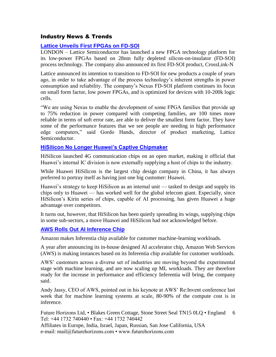# Industry News & Trends

# **[Lattice Unveils First FPGAs on FD-SOI](https://www.eetimes.com/lattice-unveils-first-fpgas-on-fd-soi/?utm_source=newsletter&utm_campaign=link&utm_medium=EETimesDaily-20191212)**

LONDON – Lattice Semiconductor has launched a new FPGA technology platform for its low-power FPGAs based on 28nm fully depleted silicon-on-insulator (FD-SOI) process technology. The company also announced its first FD-SOI product, CrossLink-N

Lattice announced its intention to transition to FD-SOI for new products a couple of years ago, in order to take advantage of the process technology's inherent strengths in power consumption and reliability. The company's Nexus FD-SOI platform continues its focus on small form factor, low power FPGAs, and is optimized for devices with 10-200k logic cells.

"We are using Nexus to enable the development of some FPGA families that provide up to 75% reduction in power compared with competing families, are 100 times more reliable in terms of soft error rate, are able to deliver the smallest form factor. They have some of the performance features that we see people are needing in high performance edge computers," said Gordo Hands, director of product marketing, Lattice Semiconductor.

### **[HiSilicon No Longer Huawei's Captive Chipmaker](https://www.eetimes.com/hisilicon-no-longer-huaweis-captive-chipmaker/?utm_source=newsletter&utm_campaign=link&utm_medium=EETimesDaily-20200103)**

HiSilicon launched 4G communication chips on an open market, making it official that Huawei's internal IC division is now externally supplying a host of chips to the industry.

While Huawei HiSilicon is the largest chip design company in China, it has always preferred to portray itself as having just one big customer: Huawei.

Huawei's strategy to keep HiSilicon as an internal unit — tasked to design and supply its chips only to Huawei — has worked well for the global telecom giant. Especially, since HiSilicon's Kirin series of chips, capable of AI processing, has given Huawei a huge advantage over competitors.

It turns out, however, that HiSilicon has been quietly spreading its wings, supplying chips in some sub-sectors, a move Huawei and HiSilicon had not acknowledged before.

### **[AWS Rolls Out AI Inference Chip](https://www.eetimes.com/aws-rolls-out-ai-inference-chip/?utm_source=newsletter&utm_campaign=link&utm_medium=EETimesDaily-20191216)**

Amazon makes Inferentia chip available for customer machine-learning workloads.

A year after announcing its in-house designed AI accelerator chip, Amazon Web Services (AWS) is making instances based on its Inferentia chip available for customer workloads.

AWS' customers across a diverse set of industries are moving beyond the experimental stage with machine learning, and are now scaling up ML workloads. They are therefore ready for the increase in performance and efficiency Inferentia will bring, the company said.

Andy Jassy, CEO of AWS, pointed out in his keynote at AWS' Re:Invent conference last week that for machine learning systems at scale, 80-90% of the compute cost is in inference.

Future Horizons Ltd, • Blakes Green Cottage, Stone Street Seal TN15 0LQ • England 6 Tel: +44 1732 740440 • Fax: +44 1732 740442

Affiliates in Europe, India, Israel, Japan, Russian, San Jose California, USA e-mail: mail@futurehorizons.com • www.futurehorizons.com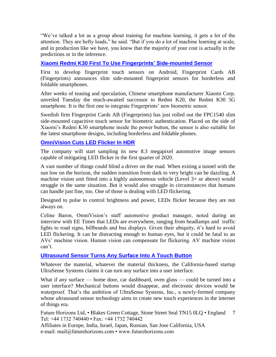"We've talked a lot as a group about training for machine learning, it gets a lot of the attention. They are hefty loads," he said. "But if you do a lot of machine learning at scale, and in production like we have, you know that the majority of your cost is actually in the predictions or in the inference.

# **[Xiaomi Redmi K30 First To Use Fingerprints' Side-mounted Sensor](https://www.eetimes.com/xiaomi-redmi-k30-first-to-use-fingerprints-side-mounted-sensor/?utm_source=newsletter&utm_campaign=link&utm_medium=EETimesDaily-20191216)**

First to develop fingerprint touch sensors on Android, Fingerprint Cards AB (Fingerprints) announces slim side-mounted fingerprint sensors for borderless and foldable smartphones.

After weeks of teasing and speculation, Chinese smartphone manufacturer Xiaomi Corp. unveiled Tuesday the much-awaited successor to Redmi K20, the Redmi K30 5G smartphone. It is the first one to integrate Fingerprints' new biometric sensor.

Swedish firm Fingerprint Cards AB (Fingerprints) has just rolled out the FPC1540 slim side-mounted capacitive touch sensor for biometric authentication. Placed on the side of Xiaomi's Redmi K30 smartphone inside the power button, the sensor is also suitable for the latest smartphone designs, including borderless and foldable phones.

# **[OmniVision Cuts LED Flicker In HDR](https://www.eetimes.com/omnivision-cuts-led-flicker-in-hdr/?utm_source=newsletter&utm_campaign=link&utm_medium=EETimesDaily-20191216)**

The company will start sampling its new 8.3 megapixel automotive image sensors capable of mitigating LED flicker in the first quarter of 2020.

A vast number of things could blind a driver on the road. When exiting a tunnel with the sun low on the horizon, the sudden transition from dark to very bright can be dazzling. A machine vision unit fitted into a highly autonomous vehicle (Level 3+ or above) would struggle in the same situation. But it would also struggle in circumstances that humans can handle just fine, too. One of those is dealing with LED flickering.

Designed to pulse to control brightness and power, LEDs flicker because they are not always on.

Celine Baron, OmniVision's staff automotive product manager, noted during an interview with EE Times that LEDs are everywhere, ranging from headlamps and traffic lights to road signs, billboards and bus displays. Given their ubiquity, it's hard to avoid LED flickering. It can be distracting enough to human eyes, but it could be fatal to an AVs' machine vision. Human vision can compensate for flickering. AV machine vision can't.

### **[Ultrasound Sensor Turns Any Surface Into A Touch Button](https://www.eetimes.com/ultrasound-sensor-turns-any-surface-into-a-touch-button/?utm_source=newsletter&utm_campaign=link&utm_medium=EETimesDaily-20191218)**

Whatever the material, whatever the material thickness, the California-based startup UltraSense Systems claims it can turn any surface into a user interface.

What if any surface — home door, car dashboard, oven glass — could be turned into a user interface? Mechanical buttons would disappear, and electronic devices would be waterproof. That's the ambition of UltraSense Systems, Inc., a newly-formed company whose ultrasound sensor technology aims to create new touch experiences in the internet of things era.

Future Horizons Ltd, • Blakes Green Cottage, Stone Street Seal TN15 0LQ • England Tel: +44 1732 740440 • Fax: +44 1732 740442 7

Affiliates in Europe, India, Israel, Japan, Russian, San Jose California, USA e-mail: mail@futurehorizons.com • www.futurehorizons.com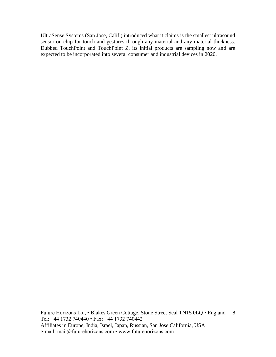UltraSense Systems (San Jose, Calif.) introduced what it claims is the smallest ultrasound sensor-on-chip for touch and gestures through any material and any material thickness. Dubbed TouchPoint and TouchPoint Z, its initial products are sampling now and are expected to be incorporated into several consumer and industrial devices in 2020.

Future Horizons Ltd, • Blakes Green Cottage, Stone Street Seal TN15 0LQ • England 8 Tel: +44 1732 740440 • Fax: +44 1732 740442 Affiliates in Europe, India, Israel, Japan, Russian, San Jose California, USA e-mail: mail@futurehorizons.com • www.futurehorizons.com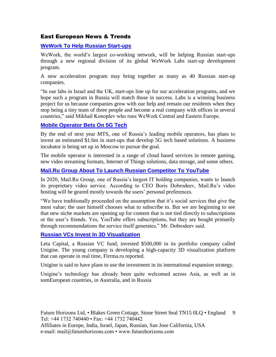# East European News & Trends

# **[WeWork To Help Russian Start-ups](http://www.marchmontnews.com/Finance-Business/Central-regions/22319-WeWork-help-Russian-start-ups.html)**

WeWork, the world's largest co-working network, will be helping Russian start-ups through a new regional division of its global WeWork Labs start-up development program.

A new acceleration program may bring together as many as 40 Russian start-up companies.

"In our labs in Israel and the UK, start-ups line up for our acceleration programs, and we hope such a program in Russia will match those in success. Labs is a winning business project for us because companies grow with our help and remain our residents when they stop being a tiny team of three people and become a real company with offices in several countries," said Mikhail Konoplev who runs WeWork Central and Eastern Europe.

# **[Mobile Operator Bets On 5G Tech](http://www.marchmontnews.com/Telecoms-Media/Central-regions/22093-Mobile-operator-bets-5G-tech.html)**

By the end of next year MTS, one of Russia's leading mobile operators, has plans to invest an estimated \$1.6m in start-ups that develop 5G tech based solutions. A business incubator is being set up in Moscow to pursue the goal.

The mobile operator is interested in a range of cloud based services in remote gaming, new video streaming formats, Internet of Things solutions, data storage, and some others.

# **[Mail.Ru Group About To Launch Russian Competitor To YouTube](http://www.marchmontnews.com/Telecoms-Media/Central-regions/22373-MailRu-Group-about-launch-Russian-competitor-YouTube.html)**

In 2020, Mail.Ru Group, one of Russia's largest IT holding companies, wants to launch its proprietary video service. According to CEO Boris Dobrodeev, Mail.Ru's video hosting will be geared mostly towards the users' personal preferences.

"We have traditionally proceeded on the assumption that it's social services that give the most value; the user himself chooses what to subscribe to. But we are beginning to see that new niche markets are opening up for content that is not tied directly to subscriptions or the user's friends. Yes, YouTube offers subscriptions, but they are bought primarily through recommendations the service itself generates," Mr. Dobrodeev said.

### **[Russian VCs Invest In 3D Visualization](http://www.marchmontnews.com/Finance-Business/Central-regions/22356-Russian-VCs-invest-3D-visualization.html)**

Leta Capital, a Russian VC fund, invested \$500,000 in its portfolio company called Unigine. The young company is developing a high-capacity 3D visualization platform that can operate in real time, Firrma.ru reported.

Unigine is said to have plans to use the investment in its international expansion strategy.

Unigine's technology has already been quite welcomed across Asia, as well as in somEuropean countries, in Australia, and in Russia

Future Horizons Ltd, • Blakes Green Cottage, Stone Street Seal TN15 0LQ • England 9 Tel: +44 1732 740440 • Fax: +44 1732 740442 Affiliates in Europe, India, Israel, Japan, Russian, San Jose California, USA e-mail: mail@futurehorizons.com • www.futurehorizons.com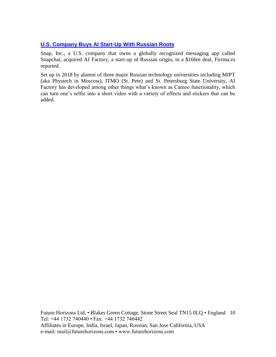# **[U.S. Company Buys AI Start-Up With Russian Roots](http://www.marchmontnews.com/Finance-Business/North-West/22414-US-company-buys-AI-start-up-with-Russian-roots--.html)**

Snap, Inc., a U.S. company that owns a globally recognized messaging app called Snapchat, acquired AI Factory, a start-up of Russian origin, in a \$166m deal, Firrma.ru reported.

Set up in 2018 by alumni of three major Russian technology universities including MIPT (aka Phystech in Moscow), ITMO (St. Pete) and St. Petersburg State University, AI Factory has developed among other things what's known as Cameo functionality, which can turn one's selfie into a short video with a variety of effects and stickers that can be added.

Future Horizons Ltd, • Blakes Green Cottage, Stone Street Seal TN15 0LQ • England 10 Tel: +44 1732 740440 • Fax: +44 1732 740442 Affiliates in Europe, India, Israel, Japan, Russian, San Jose California, USA e-mail: mail@futurehorizons.com • www.futurehorizons.com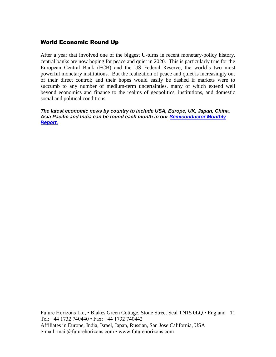# World Economic Round Up

After a year that involved one of the biggest U-turns in recent monetary-policy history, central banks are now hoping for peace and quiet in 2020. This is particularly true for the European Central Bank (ECB) and the US Federal Reserve, the world's two most powerful monetary institutions. But the realization of peace and quiet is increasingly out of their direct control; and their hopes would easily be dashed if markets were to succumb to any number of medium-term uncertainties, many of which extend well beyond economics and finance to the realms of geopolitics, institutions, and domestic social and political conditions.

*The latest economic news by country to include USA, Europe, UK, Japan, China, Asia Pacific and India can be found each month in our [Semiconductor Monthly](http://www.futurehorizons.com/page/18/Global-Semiconductor-Report)  [Report.](http://www.futurehorizons.com/page/18/Global-Semiconductor-Report)* 

Future Horizons Ltd, • Blakes Green Cottage, Stone Street Seal TN15 0LQ • England 11 Tel: +44 1732 740440 • Fax: +44 1732 740442 Affiliates in Europe, India, Israel, Japan, Russian, San Jose California, USA e-mail: mail@futurehorizons.com • www.futurehorizons.com